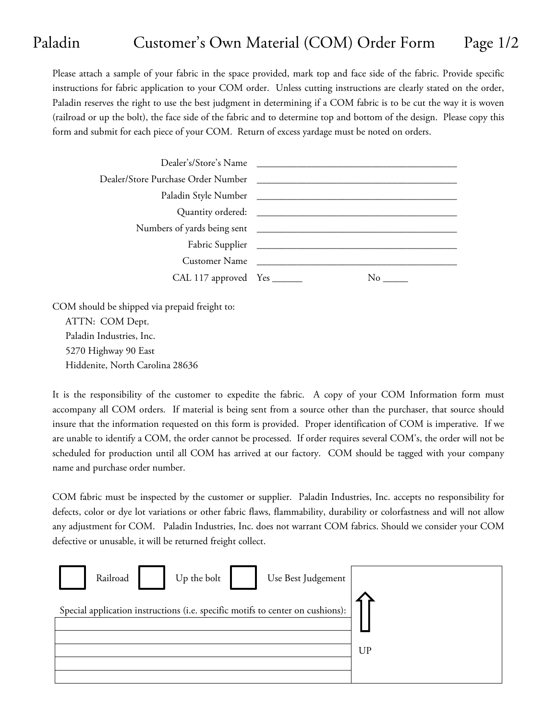## Paladin Customer's Own Material (COM) Order Form Page 1/2

Please attach a sample of your fabric in the space provided, mark top and face side of the fabric. Provide specific instructions for fabric application to your COM order. Unless cutting instructions are clearly stated on the order, Paladin reserves the right to use the best judgment in determining if a COM fabric is to be cut the way it is woven (railroad or up the bolt), the face side of the fabric and to determine top and bottom of the design. Please copy this form and submit for each piece of your COM. Return of excess yardage must be noted on orders.

|                              | Dealer's/Store's Name |
|------------------------------|-----------------------|
|                              |                       |
|                              |                       |
|                              |                       |
|                              |                       |
|                              |                       |
|                              | Customer Name         |
| CAL 117 approved Yes _______ | No.                   |
|                              |                       |

COM should be shipped via prepaid freight to:

ATTN: COM Dept. Paladin Industries, Inc. 5270 Highway 90 East Hiddenite, North Carolina 28636

It is the responsibility of the customer to expedite the fabric. A copy of your COM Information form must accompany all COM orders. If material is being sent from a source other than the purchaser, that source should insure that the information requested on this form is provided. Proper identification of COM is imperative. If we are unable to identify a COM, the order cannot be processed. If order requires several COM's, the order will not be scheduled for production until all COM has arrived at our factory. COM should be tagged with your company name and purchase order number.

COM fabric must be inspected by the customer or supplier. Paladin Industries, Inc. accepts no responsibility for defects, color or dye lot variations or other fabric flaws, flammability, durability or colorfastness and will not allow any adjustment for COM. Paladin Industries, Inc. does not warrant COM fabrics. Should we consider your COM defective or unusable, it will be returned freight collect.